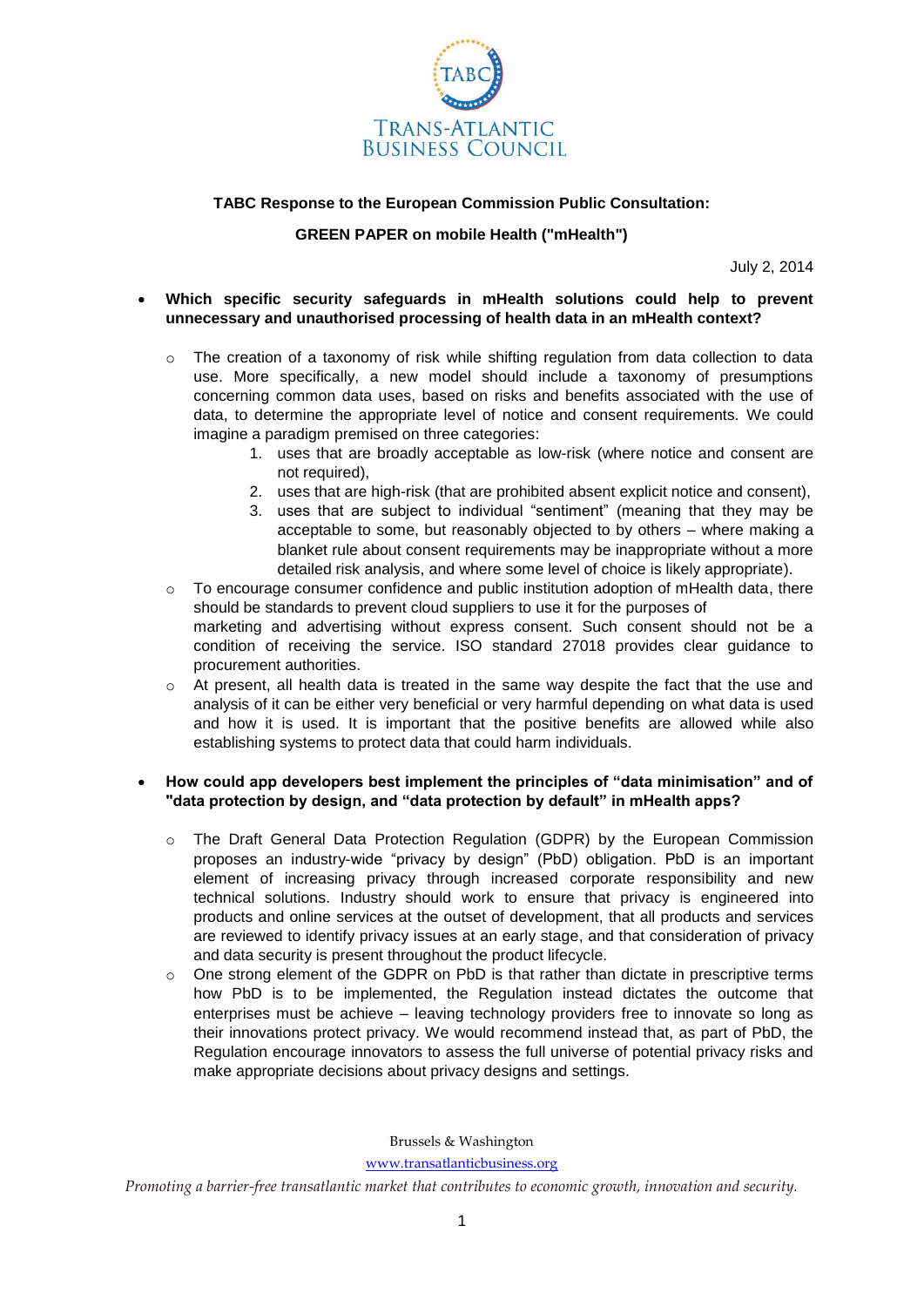

# **TABC Response to the European Commission Public Consultation:**

# **GREEN PAPER on mobile Health ("mHealth")**

July 2, 2014

### **Which specific security safeguards in mHealth solutions could help to prevent unnecessary and unauthorised processing of health data in an mHealth context?**

- $\circ$  The creation of a taxonomy of risk while shifting regulation from data collection to data use. More specifically, a new model should include a taxonomy of presumptions concerning common data uses, based on risks and benefits associated with the use of data, to determine the appropriate level of notice and consent requirements. We could imagine a paradigm premised on three categories:
	- 1. uses that are broadly acceptable as low-risk (where notice and consent are not required),
	- 2. uses that are high-risk (that are prohibited absent explicit notice and consent),
	- 3. uses that are subject to individual "sentiment" (meaning that they may be acceptable to some, but reasonably objected to by others – where making a blanket rule about consent requirements may be inappropriate without a more detailed risk analysis, and where some level of choice is likely appropriate).
- $\circ$  To encourage consumer confidence and public institution adoption of mHealth data, there should be standards to prevent cloud suppliers to use it for the purposes of marketing and advertising without express consent. Such consent should not be a condition of receiving the service. ISO standard 27018 provides clear guidance to procurement authorities.
- $\circ$  At present, all health data is treated in the same way despite the fact that the use and analysis of it can be either very beneficial or very harmful depending on what data is used and how it is used. It is important that the positive benefits are allowed while also establishing systems to protect data that could harm individuals.

### **How could app developers best implement the principles of "data minimisation" and of "data protection by design, and "data protection by default" in mHealth apps?**

- o The Draft General Data Protection Regulation (GDPR) by the European Commission proposes an industry-wide "privacy by design" (PbD) obligation. PbD is an important element of increasing privacy through increased corporate responsibility and new technical solutions. Industry should work to ensure that privacy is engineered into products and online services at the outset of development, that all products and services are reviewed to identify privacy issues at an early stage, and that consideration of privacy and data security is present throughout the product lifecycle.
- $\circ$  One strong element of the GDPR on PbD is that rather than dictate in prescriptive terms how PbD is to be implemented, the Regulation instead dictates the outcome that enterprises must be achieve – leaving technology providers free to innovate so long as their innovations protect privacy. We would recommend instead that, as part of PbD, the Regulation encourage innovators to assess the full universe of potential privacy risks and make appropriate decisions about privacy designs and settings.

Brussels & Washington

[www.transatlanticbusiness.org](http://www.transatlanticbusiness.org/)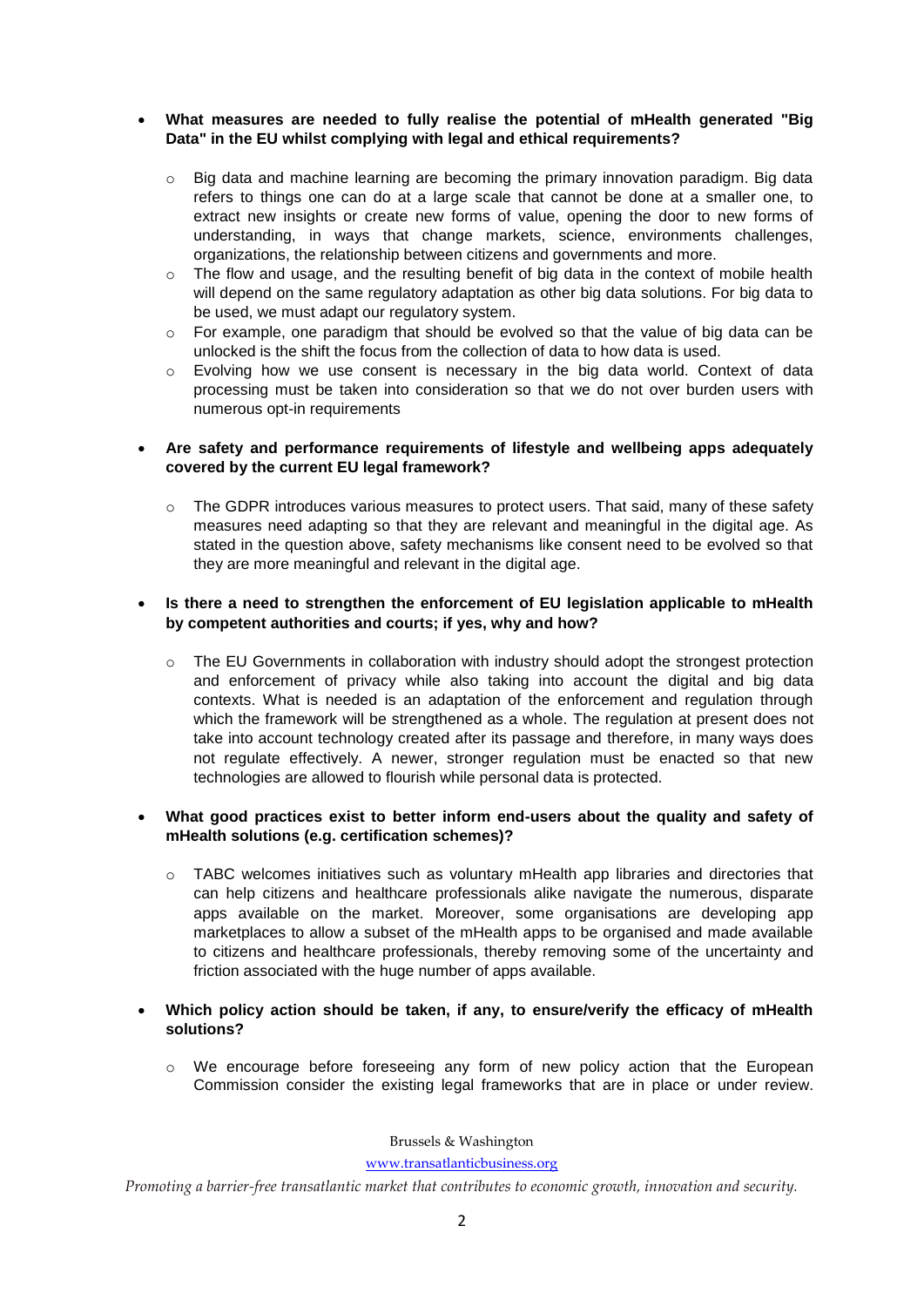# **What measures are needed to fully realise the potential of mHealth generated "Big Data" in the EU whilst complying with legal and ethical requirements?**

- $\circ$  Big data and machine learning are becoming the primary innovation paradigm. Big data refers to things one can do at a large scale that cannot be done at a smaller one, to extract new insights or create new forms of value, opening the door to new forms of understanding, in ways that change markets, science, environments challenges, organizations, the relationship between citizens and governments and more.
- $\circ$  The flow and usage, and the resulting benefit of big data in the context of mobile health will depend on the same regulatory adaptation as other big data solutions. For big data to be used, we must adapt our regulatory system.
- $\circ$  For example, one paradigm that should be evolved so that the value of big data can be unlocked is the shift the focus from the collection of data to how data is used.
- $\circ$  Evolving how we use consent is necessary in the big data world. Context of data processing must be taken into consideration so that we do not over burden users with numerous opt-in requirements

# **Are safety and performance requirements of lifestyle and wellbeing apps adequately covered by the current EU legal framework?**

 $\circ$  The GDPR introduces various measures to protect users. That said, many of these safety measures need adapting so that they are relevant and meaningful in the digital age. As stated in the question above, safety mechanisms like consent need to be evolved so that they are more meaningful and relevant in the digital age.

# **Is there a need to strengthen the enforcement of EU legislation applicable to mHealth by competent authorities and courts; if yes, why and how?**

 $\circ$  The EU Governments in collaboration with industry should adopt the strongest protection and enforcement of privacy while also taking into account the digital and big data contexts. What is needed is an adaptation of the enforcement and regulation through which the framework will be strengthened as a whole. The regulation at present does not take into account technology created after its passage and therefore, in many ways does not regulate effectively. A newer, stronger regulation must be enacted so that new technologies are allowed to flourish while personal data is protected.

# **What good practices exist to better inform end-users about the quality and safety of mHealth solutions (e.g. certification schemes)?**

- $\circ$  TABC welcomes initiatives such as voluntary mHealth app libraries and directories that can help citizens and healthcare professionals alike navigate the numerous, disparate apps available on the market. Moreover, some organisations are developing app marketplaces to allow a subset of the mHealth apps to be organised and made available to citizens and healthcare professionals, thereby removing some of the uncertainty and friction associated with the huge number of apps available.
- **Which policy action should be taken, if any, to ensure/verify the efficacy of mHealth solutions?** 
	- $\circ$  We encourage before foreseeing any form of new policy action that the European Commission consider the existing legal frameworks that are in place or under review.

Brussels & Washington

[www.transatlanticbusiness.org](http://www.transatlanticbusiness.org/)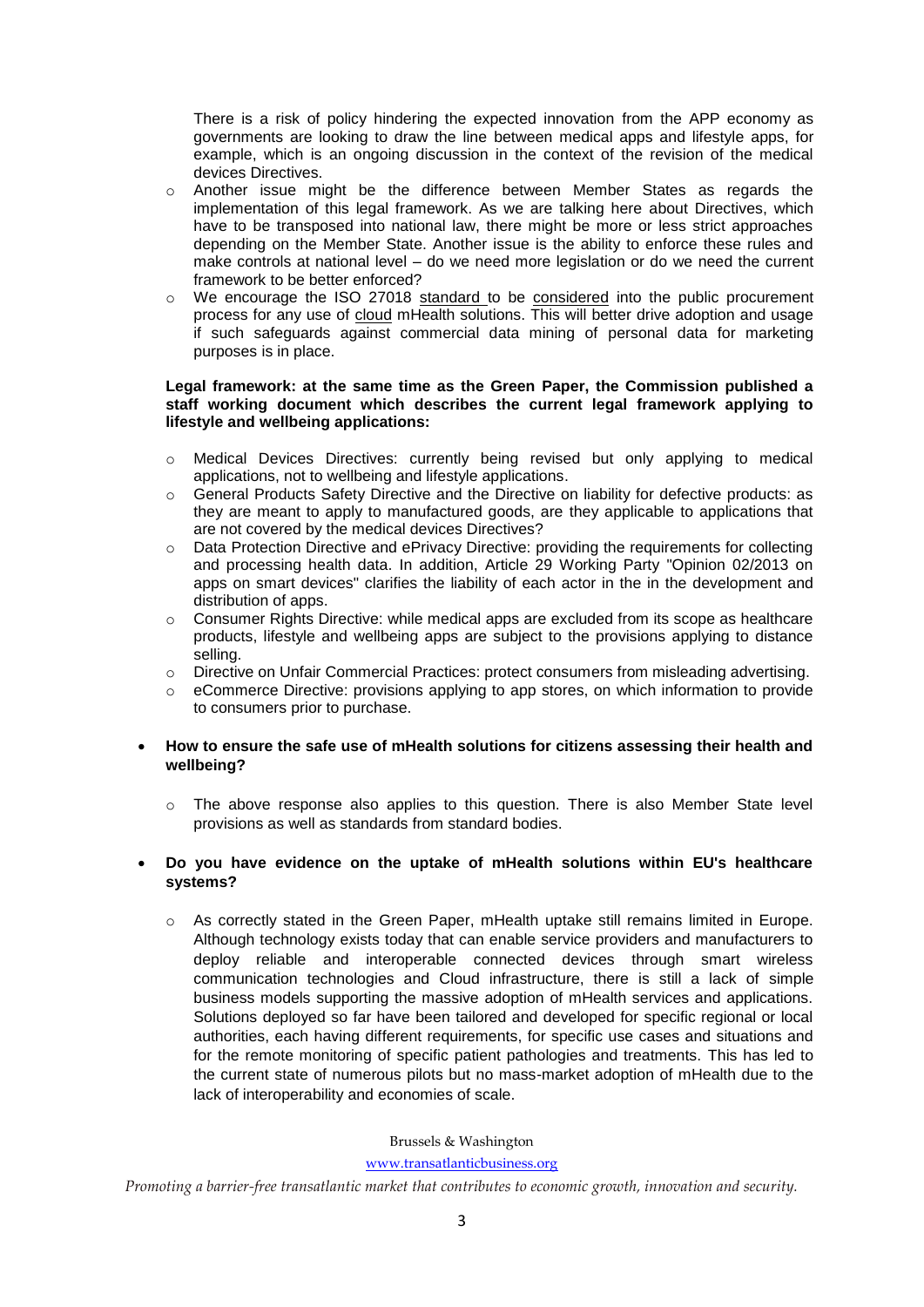There is a risk of policy hindering the expected innovation from the APP economy as governments are looking to draw the line between medical apps and lifestyle apps, for example, which is an ongoing discussion in the context of the revision of the medical devices Directives.

- $\circ$  Another issue might be the difference between Member States as regards the implementation of this legal framework. As we are talking here about Directives, which have to be transposed into national law, there might be more or less strict approaches depending on the Member State. Another issue is the ability to enforce these rules and make controls at national level – do we need more legislation or do we need the current framework to be better enforced?
- o We encourage the ISO 27018 standard to be considered into the public procurement process for any use of cloud mHealth solutions. This will better drive adoption and usage if such safeguards against commercial data mining of personal data for marketing purposes is in place.

### **Legal framework: at the same time as the Green Paper, the Commission published a staff working document which describes the current legal framework applying to lifestyle and wellbeing applications:**

- o Medical Devices Directives: currently being revised but only applying to medical applications, not to wellbeing and lifestyle applications.
- o General Products Safety Directive and the Directive on liability for defective products: as they are meant to apply to manufactured goods, are they applicable to applications that are not covered by the medical devices Directives?
- o Data Protection Directive and ePrivacy Directive: providing the requirements for collecting and processing health data. In addition, Article 29 Working Party "Opinion 02/2013 on apps on smart devices" clarifies the liability of each actor in the in the development and distribution of apps.
- $\circ$  Consumer Rights Directive: while medical apps are excluded from its scope as healthcare products, lifestyle and wellbeing apps are subject to the provisions applying to distance selling.
- o Directive on Unfair Commercial Practices: protect consumers from misleading advertising.
- o eCommerce Directive: provisions applying to app stores, on which information to provide to consumers prior to purchase.

### **How to ensure the safe use of mHealth solutions for citizens assessing their health and wellbeing?**

 $\circ$  The above response also applies to this question. There is also Member State level provisions as well as standards from standard bodies.

# **Do you have evidence on the uptake of mHealth solutions within EU's healthcare systems?**

o As correctly stated in the Green Paper, mHealth uptake still remains limited in Europe. Although technology exists today that can enable service providers and manufacturers to deploy reliable and interoperable connected devices through smart wireless communication technologies and Cloud infrastructure, there is still a lack of simple business models supporting the massive adoption of mHealth services and applications. Solutions deployed so far have been tailored and developed for specific regional or local authorities, each having different requirements, for specific use cases and situations and for the remote monitoring of specific patient pathologies and treatments. This has led to the current state of numerous pilots but no mass-market adoption of mHealth due to the lack of interoperability and economies of scale.

### Brussels & Washington

#### [www.transatlanticbusiness.org](http://www.transatlanticbusiness.org/)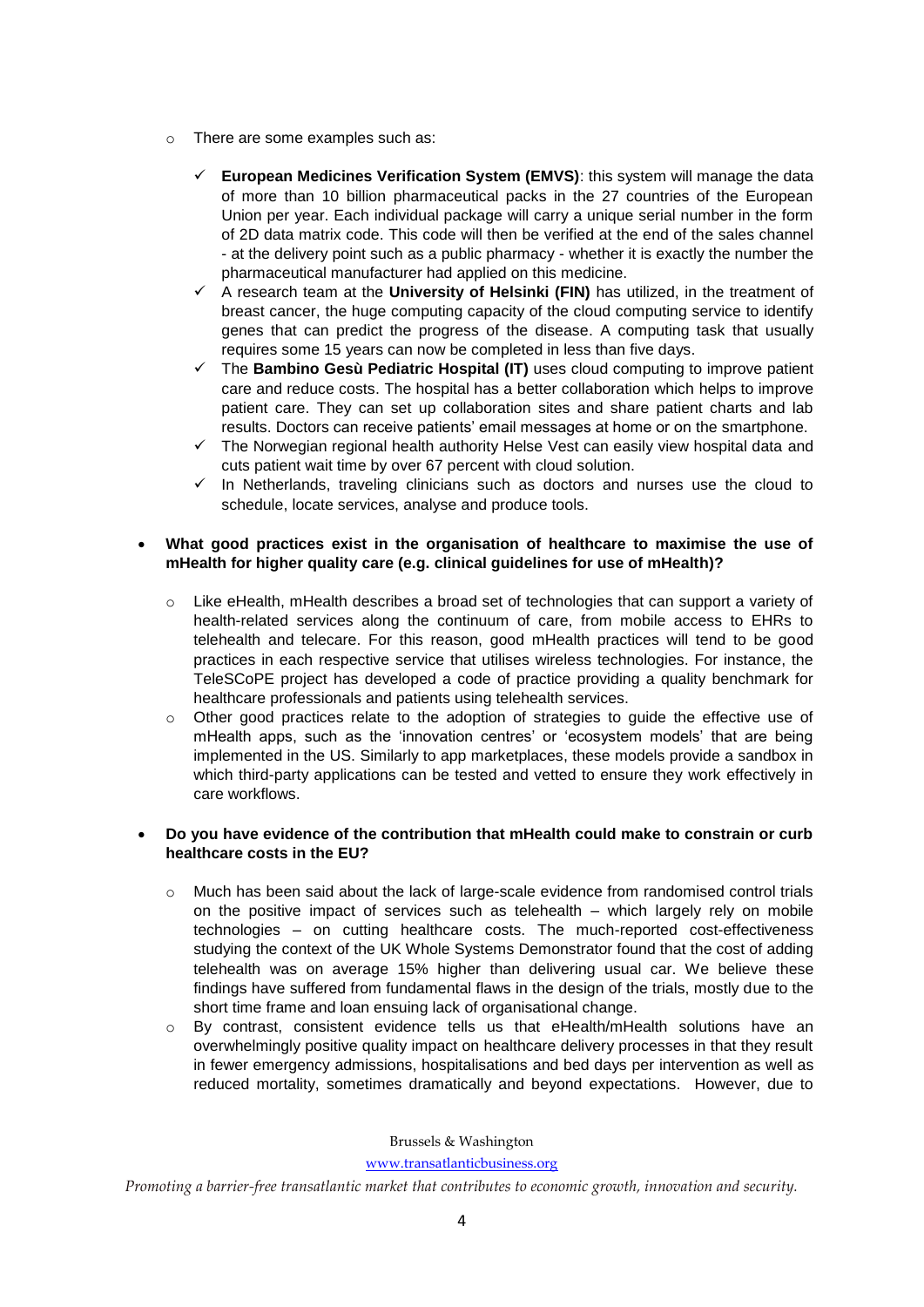- o There are some examples such as:
	- **European Medicines Verification System (EMVS)**: this system will manage the data of more than 10 billion pharmaceutical packs in the 27 countries of the European Union per year. Each individual package will carry a unique serial number in the form of 2D data matrix code. This code will then be verified at the end of the sales channel - at the delivery point such as a public pharmacy - whether it is exactly the number the pharmaceutical manufacturer had applied on this medicine.
	- A research team at the **University of Helsinki (FIN)** has utilized, in the treatment of breast cancer, the huge computing capacity of the cloud computing service to identify genes that can predict the progress of the disease. A computing task that usually requires some 15 years can now be completed in less than five days.
	- The **Bambino Gesù Pediatric Hospital (IT)** uses cloud computing to improve patient care and reduce costs. The hospital has a better collaboration which helps to improve patient care. They can set up collaboration sites and share patient charts and lab results. Doctors can receive patients' email messages at home or on the smartphone.
	- $\checkmark$  The Norwegian regional health authority Helse Vest can easily view hospital data and cuts patient wait time by over 67 percent with cloud solution.
	- $\checkmark$  In Netherlands, traveling clinicians such as doctors and nurses use the cloud to schedule, locate services, analyse and produce tools.

# **What good practices exist in the organisation of healthcare to maximise the use of mHealth for higher quality care (e.g. clinical guidelines for use of mHealth)?**

- $\circ$  Like eHealth, mHealth describes a broad set of technologies that can support a variety of health-related services along the continuum of care, from mobile access to EHRs to telehealth and telecare. For this reason, good mHealth practices will tend to be good practices in each respective service that utilises wireless technologies. For instance, the TeleSCoPE project has developed a code of practice providing a quality benchmark for healthcare professionals and patients using telehealth services.
- o Other good practices relate to the adoption of strategies to guide the effective use of mHealth apps, such as the 'innovation centres' or 'ecosystem models' that are being implemented in the US. Similarly to app marketplaces, these models provide a sandbox in which third-party applications can be tested and vetted to ensure they work effectively in care workflows.

# **Do you have evidence of the contribution that mHealth could make to constrain or curb healthcare costs in the EU?**

- o Much has been said about the lack of large-scale evidence from randomised control trials on the positive impact of services such as telehealth – which largely rely on mobile technologies – on cutting healthcare costs. The much-reported cost-effectiveness studying the context of the UK Whole Systems Demonstrator found that the cost of adding telehealth was on average 15% higher than delivering usual car. We believe these findings have suffered from fundamental flaws in the design of the trials, mostly due to the short time frame and loan ensuing lack of organisational change.
- o By contrast, consistent evidence tells us that eHealth/mHealth solutions have an overwhelmingly positive quality impact on healthcare delivery processes in that they result in fewer emergency admissions, hospitalisations and bed days per intervention as well as reduced mortality, sometimes dramatically and beyond expectations. However, due to

Brussels & Washington

[www.transatlanticbusiness.org](http://www.transatlanticbusiness.org/)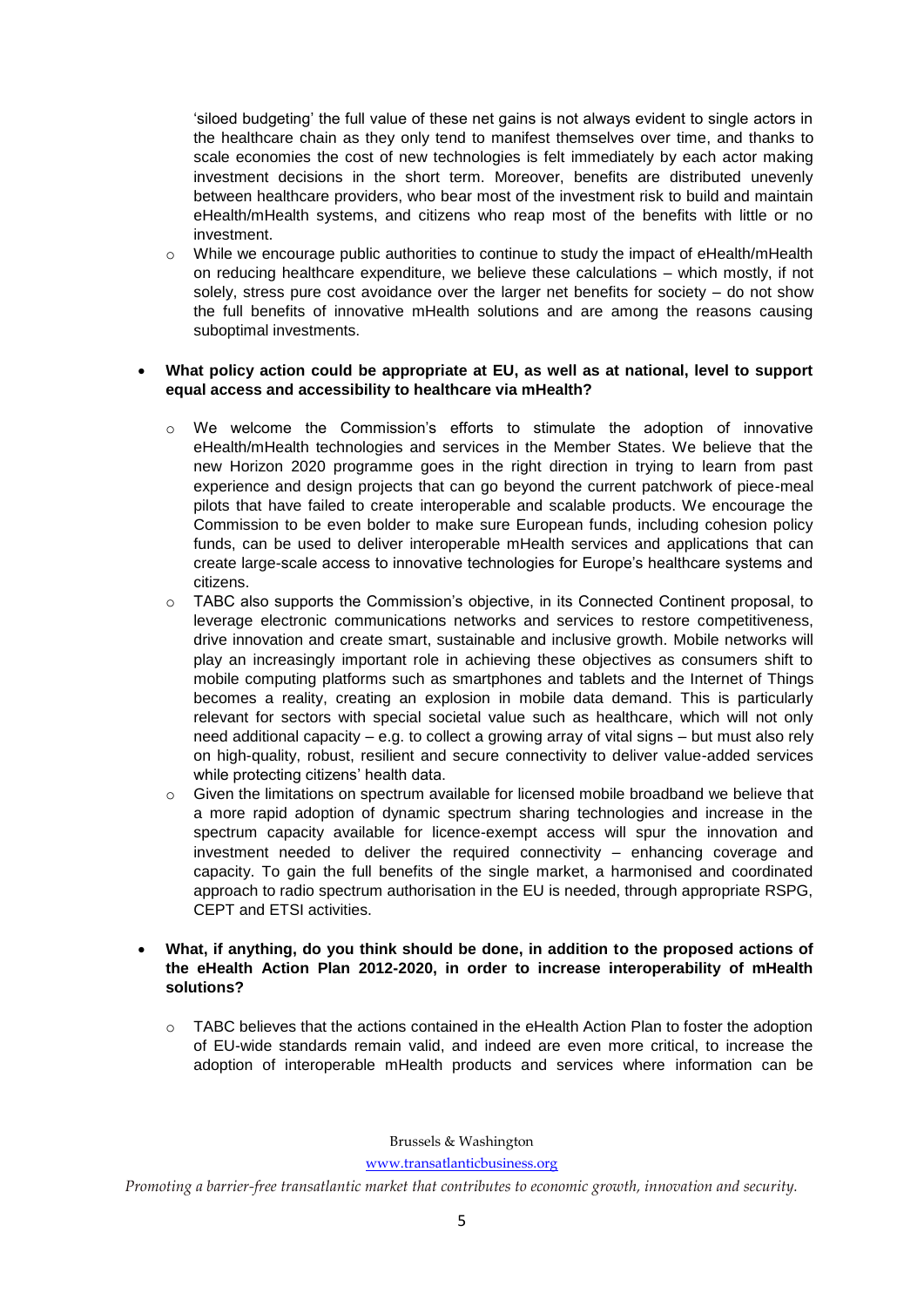'siloed budgeting' the full value of these net gains is not always evident to single actors in the healthcare chain as they only tend to manifest themselves over time, and thanks to scale economies the cost of new technologies is felt immediately by each actor making investment decisions in the short term. Moreover, benefits are distributed unevenly between healthcare providers, who bear most of the investment risk to build and maintain eHealth/mHealth systems, and citizens who reap most of the benefits with little or no investment.

 $\circ$  While we encourage public authorities to continue to study the impact of eHealth/mHealth on reducing healthcare expenditure, we believe these calculations – which mostly, if not solely, stress pure cost avoidance over the larger net benefits for society – do not show the full benefits of innovative mHealth solutions and are among the reasons causing suboptimal investments.

### **What policy action could be appropriate at EU, as well as at national, level to support equal access and accessibility to healthcare via mHealth?**

- o We welcome the Commission's efforts to stimulate the adoption of innovative eHealth/mHealth technologies and services in the Member States. We believe that the new Horizon 2020 programme goes in the right direction in trying to learn from past experience and design projects that can go beyond the current patchwork of piece-meal pilots that have failed to create interoperable and scalable products. We encourage the Commission to be even bolder to make sure European funds, including cohesion policy funds, can be used to deliver interoperable mHealth services and applications that can create large-scale access to innovative technologies for Europe's healthcare systems and citizens.
- o TABC also supports the Commission's objective, in its Connected Continent proposal, to leverage electronic communications networks and services to restore competitiveness, drive innovation and create smart, sustainable and inclusive growth. Mobile networks will play an increasingly important role in achieving these objectives as consumers shift to mobile computing platforms such as smartphones and tablets and the Internet of Things becomes a reality, creating an explosion in mobile data demand. This is particularly relevant for sectors with special societal value such as healthcare, which will not only need additional capacity – e.g. to collect a growing array of vital signs – but must also rely on high-quality, robust, resilient and secure connectivity to deliver value-added services while protecting citizens' health data.
- o Given the limitations on spectrum available for licensed mobile broadband we believe that a more rapid adoption of dynamic spectrum sharing technologies and increase in the spectrum capacity available for licence-exempt access will spur the innovation and investment needed to deliver the required connectivity – enhancing coverage and capacity. To gain the full benefits of the single market, a harmonised and coordinated approach to radio spectrum authorisation in the EU is needed, through appropriate RSPG, CEPT and ETSI activities.
- **What, if anything, do you think should be done, in addition to the proposed actions of the eHealth Action Plan 2012-2020, in order to increase interoperability of mHealth solutions?** 
	- o TABC believes that the actions contained in the eHealth Action Plan to foster the adoption of EU-wide standards remain valid, and indeed are even more critical, to increase the adoption of interoperable mHealth products and services where information can be

Brussels & Washington

[www.transatlanticbusiness.org](http://www.transatlanticbusiness.org/)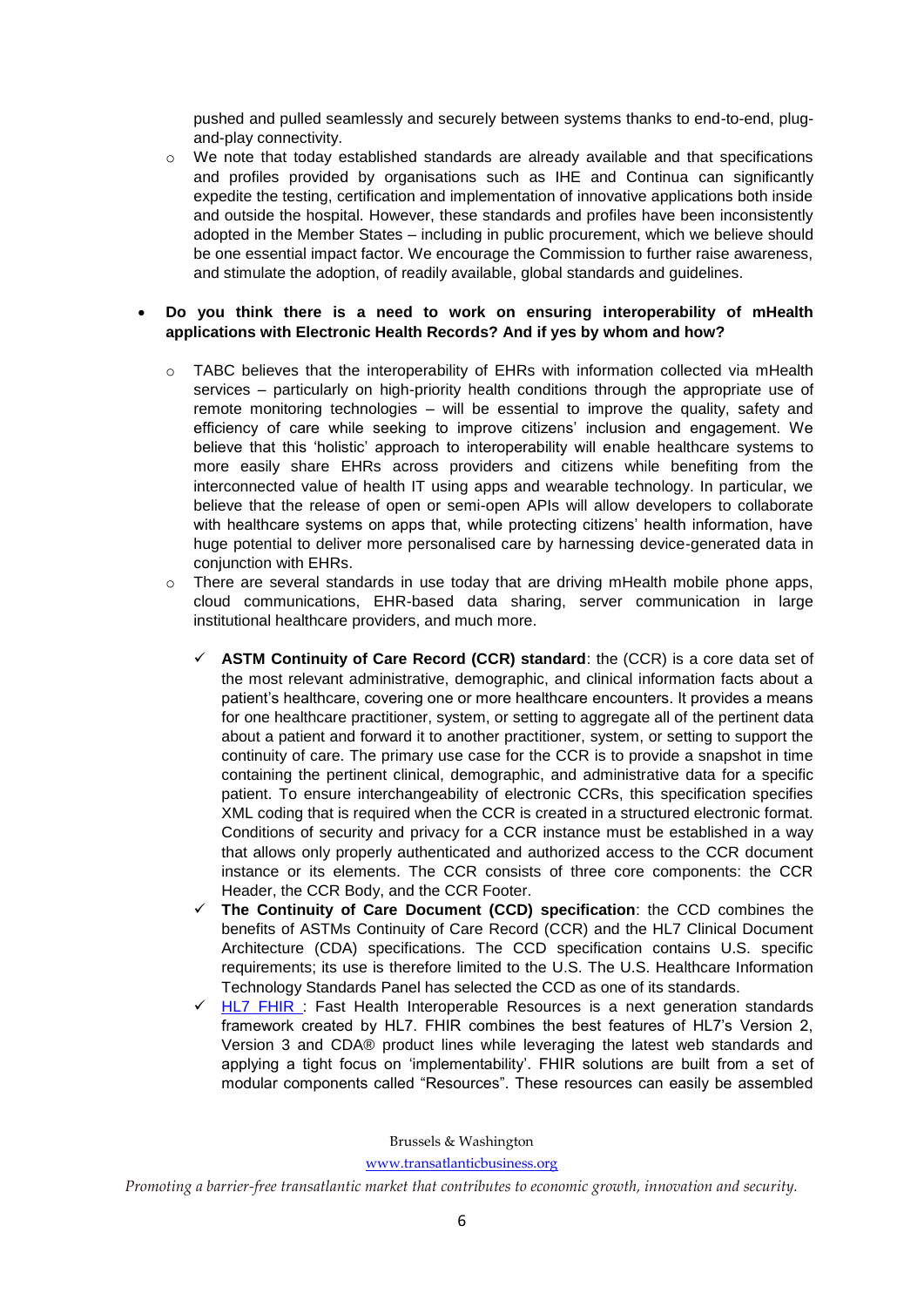pushed and pulled seamlessly and securely between systems thanks to end-to-end, plugand-play connectivity.

 $\circ$  We note that today established standards are already available and that specifications and profiles provided by organisations such as IHE and Continua can significantly expedite the testing, certification and implementation of innovative applications both inside and outside the hospital. However, these standards and profiles have been inconsistently adopted in the Member States – including in public procurement, which we believe should be one essential impact factor. We encourage the Commission to further raise awareness, and stimulate the adoption, of readily available, global standards and guidelines.

## **Do you think there is a need to work on ensuring interoperability of mHealth applications with Electronic Health Records? And if yes by whom and how?**

- $\circ$  TABC believes that the interoperability of EHRs with information collected via mHealth services – particularly on high-priority health conditions through the appropriate use of remote monitoring technologies – will be essential to improve the quality, safety and efficiency of care while seeking to improve citizens' inclusion and engagement. We believe that this 'holistic' approach to interoperability will enable healthcare systems to more easily share EHRs across providers and citizens while benefiting from the interconnected value of health IT using apps and wearable technology. In particular, we believe that the release of open or semi-open APIs will allow developers to collaborate with healthcare systems on apps that, while protecting citizens' health information, have huge potential to deliver more personalised care by harnessing device-generated data in conjunction with EHRs.
- $\circ$  There are several standards in use today that are driving mHealth mobile phone apps, cloud communications, EHR-based data sharing, server communication in large institutional healthcare providers, and much more.
	- **ASTM Continuity of Care Record (CCR) standard**: the (CCR) is a core data set of the most relevant administrative, demographic, and clinical information facts about a patient's healthcare, covering one or more healthcare encounters. It provides a means for one healthcare practitioner, system, or setting to aggregate all of the pertinent data about a patient and forward it to another practitioner, system, or setting to support the continuity of care. The primary use case for the CCR is to provide a snapshot in time containing the pertinent clinical, demographic, and administrative data for a specific patient. To ensure interchangeability of electronic CCRs, this specification specifies XML coding that is required when the CCR is created in a structured electronic format. Conditions of security and privacy for a CCR instance must be established in a way that allows only properly authenticated and authorized access to the CCR document instance or its elements. The CCR consists of three core components: the CCR Header, the CCR Body, and the CCR Footer.
	- **The Continuity of Care Document (CCD) specification**: the CCD combines the benefits of ASTMs Continuity of Care Record (CCR) and the HL7 Clinical Document Architecture (CDA) specifications. The CCD specification contains U.S. specific requirements; its use is therefore limited to the U.S. The U.S. Healthcare Information Technology Standards Panel has selected the CCD as one of its standards.
	- [HL7 FHIR :](http://www.hl7.org/implement/standards/product_brief.cfm?product_id=343) Fast Health Interoperable Resources is a next generation standards framework created by HL7. FHIR combines the best features of HL7's Version 2, Version 3 and CDA® product lines while leveraging the latest web standards and applying a tight focus on 'implementability'. FHIR solutions are built from a set of modular components called "Resources". These resources can easily be assembled

Brussels & Washington

[www.transatlanticbusiness.org](http://www.transatlanticbusiness.org/)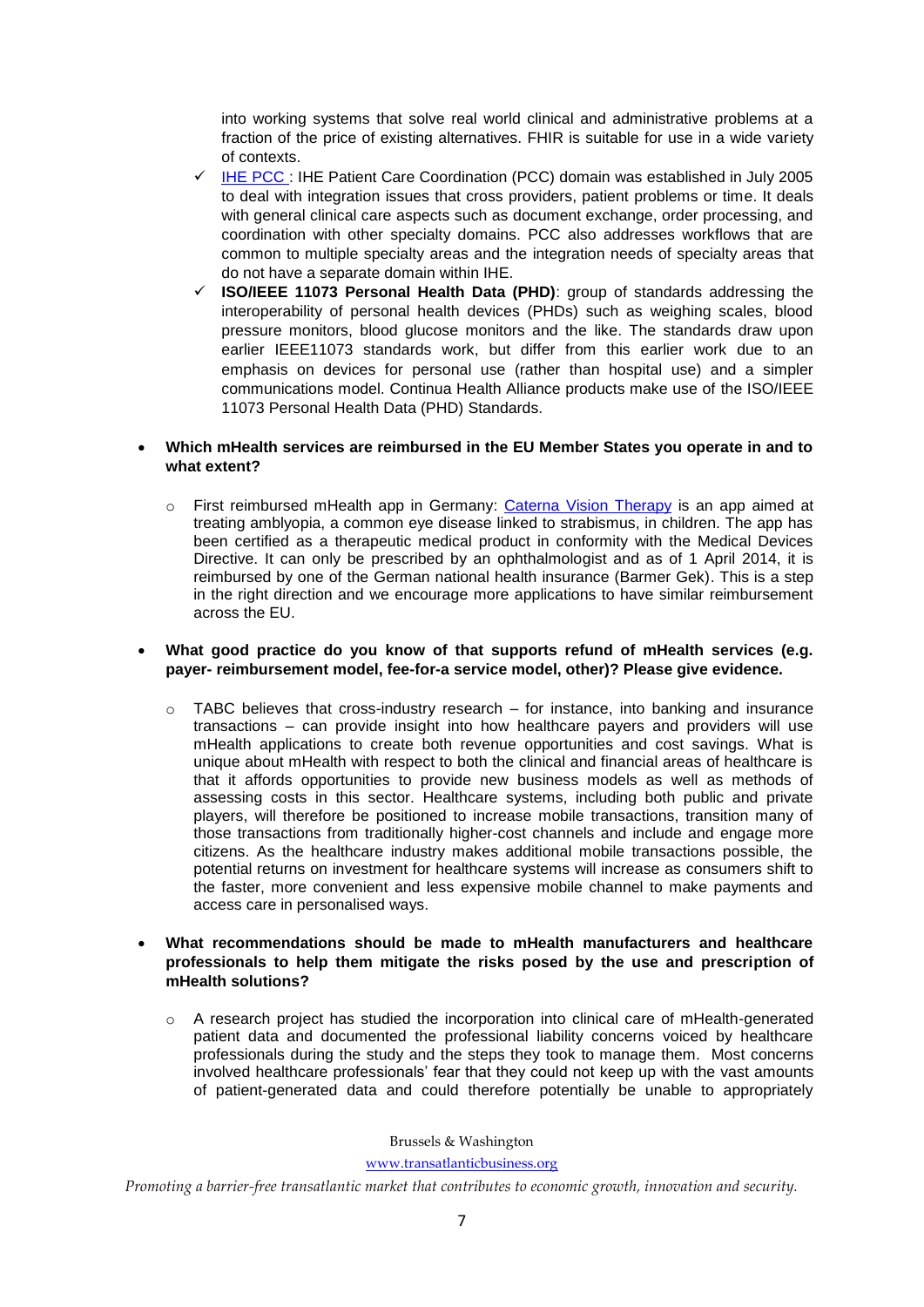into working systems that solve real world clinical and administrative problems at a fraction of the price of existing alternatives. FHIR is suitable for use in a wide variety of contexts.

- $\sqrt{$  [IHE PCC :](http://wiki.ihe.net/index.php?title=Patient_Care_Coordination) IHE Patient Care Coordination (PCC) domain was established in July 2005 to deal with integration issues that cross providers, patient problems or time. It deals with general clinical care aspects such as document exchange, order processing, and coordination with other specialty domains. PCC also addresses workflows that are common to multiple specialty areas and the integration needs of specialty areas that do not have a separate domain within IHE.
- **ISO/IEEE 11073 Personal Health Data (PHD)**: group of standards addressing the interoperability of personal health devices (PHDs) such as weighing scales, blood pressure monitors, blood glucose monitors and the like. The standards draw upon earlier IEEE11073 standards work, but differ from this earlier work due to an emphasis on devices for personal use (rather than hospital use) and a simpler communications model. Continua Health Alliance products make use of the ISO/IEEE 11073 Personal Health Data (PHD) Standards.

# **Which mHealth services are reimbursed in the EU Member States you operate in and to what extent?**

o First reimbursed mHealth app in Germany: [Caterna Vision Therapy](http://caterna.de/en/) is an app aimed at treating amblyopia, a common eye disease linked to strabismus, in children. The app has been certified as a therapeutic medical product in conformity with the Medical Devices Directive. It can only be prescribed by an ophthalmologist and as of 1 April 2014, it is reimbursed by one of the German national health insurance (Barmer Gek). This is a step in the right direction and we encourage more applications to have similar reimbursement across the EU.

### **What good practice do you know of that supports refund of mHealth services (e.g. payer- reimbursement model, fee-for-a service model, other)? Please give evidence.**

- $\circ$  TABC believes that cross-industry research for instance, into banking and insurance transactions – can provide insight into how healthcare payers and providers will use mHealth applications to create both revenue opportunities and cost savings. What is unique about mHealth with respect to both the clinical and financial areas of healthcare is that it affords opportunities to provide new business models as well as methods of assessing costs in this sector. Healthcare systems, including both public and private players, will therefore be positioned to increase mobile transactions, transition many of those transactions from traditionally higher-cost channels and include and engage more citizens. As the healthcare industry makes additional mobile transactions possible, the potential returns on investment for healthcare systems will increase as consumers shift to the faster, more convenient and less expensive mobile channel to make payments and access care in personalised ways.
- **What recommendations should be made to mHealth manufacturers and healthcare professionals to help them mitigate the risks posed by the use and prescription of mHealth solutions?**
	- $\circ$  A research project has studied the incorporation into clinical care of mHealth-generated patient data and documented the professional liability concerns voiced by healthcare professionals during the study and the steps they took to manage them. Most concerns involved healthcare professionals' fear that they could not keep up with the vast amounts of patient-generated data and could therefore potentially be unable to appropriately

Brussels & Washington

[www.transatlanticbusiness.org](http://www.transatlanticbusiness.org/)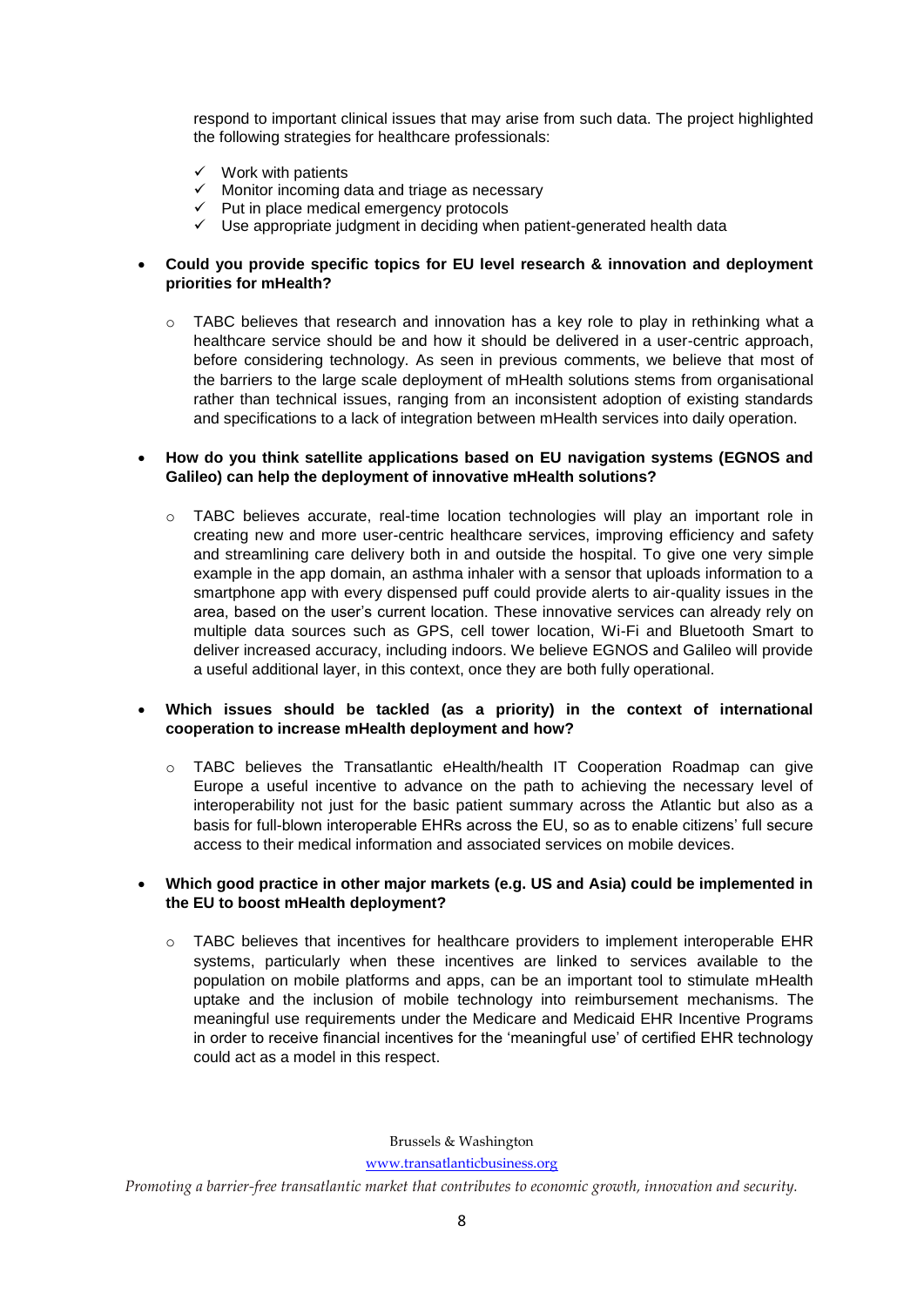respond to important clinical issues that may arise from such data. The project highlighted the following strategies for healthcare professionals:

- $\checkmark$  Work with patients
- $\checkmark$  Monitor incoming data and triage as necessary
- $\checkmark$  Put in place medical emergency protocols
- $\checkmark$  Use appropriate judgment in deciding when patient-generated health data

# **Could you provide specific topics for EU level research & innovation and deployment priorities for mHealth?**

 $\circ$  TABC believes that research and innovation has a key role to play in rethinking what a healthcare service should be and how it should be delivered in a user-centric approach, before considering technology. As seen in previous comments, we believe that most of the barriers to the large scale deployment of mHealth solutions stems from organisational rather than technical issues, ranging from an inconsistent adoption of existing standards and specifications to a lack of integration between mHealth services into daily operation.

### **How do you think satellite applications based on EU navigation systems (EGNOS and Galileo) can help the deployment of innovative mHealth solutions?**

o TABC believes accurate, real-time location technologies will play an important role in creating new and more user-centric healthcare services, improving efficiency and safety and streamlining care delivery both in and outside the hospital. To give one very simple example in the app domain, an asthma inhaler with a sensor that uploads information to a smartphone app with every dispensed puff could provide alerts to air-quality issues in the area, based on the user's current location. These innovative services can already rely on multiple data sources such as GPS, cell tower location, Wi-Fi and Bluetooth Smart to deliver increased accuracy, including indoors. We believe EGNOS and Galileo will provide a useful additional layer, in this context, once they are both fully operational.

# **Which issues should be tackled (as a priority) in the context of international cooperation to increase mHealth deployment and how?**

 $\circ$  TABC believes the Transatlantic eHealth/health IT Cooperation Roadmap can give Europe a useful incentive to advance on the path to achieving the necessary level of interoperability not just for the basic patient summary across the Atlantic but also as a basis for full-blown interoperable EHRs across the EU, so as to enable citizens' full secure access to their medical information and associated services on mobile devices.

# **Which good practice in other major markets (e.g. US and Asia) could be implemented in the EU to boost mHealth deployment?**

o TABC believes that incentives for healthcare providers to implement interoperable EHR systems, particularly when these incentives are linked to services available to the population on mobile platforms and apps, can be an important tool to stimulate mHealth uptake and the inclusion of mobile technology into reimbursement mechanisms. The meaningful use requirements under the Medicare and Medicaid EHR Incentive Programs in order to receive financial incentives for the 'meaningful use' of certified EHR technology could act as a model in this respect.

Brussels & Washington

[www.transatlanticbusiness.org](http://www.transatlanticbusiness.org/)